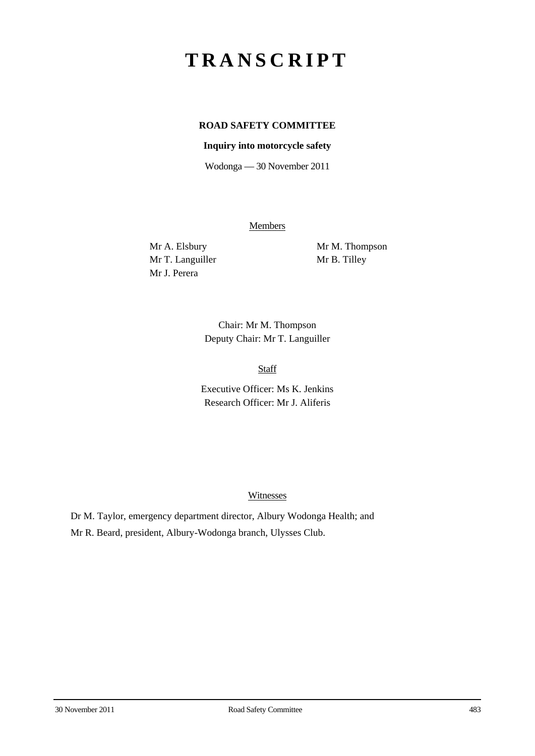# **TRANSCRIPT**

## **ROAD SAFETY COMMITTEE**

### **Inquiry into motorcycle safety**

Wodonga — 30 November 2011

**Members** 

Mr T. Languiller Mr B. Tilley Mr J. Perera

Mr A. Elsbury Mr M. Thompson

Chair: Mr M. Thompson Deputy Chair: Mr T. Languiller

Staff

Executive Officer: Ms K. Jenkins Research Officer: Mr J. Aliferis

Witnesses

Dr M. Taylor, emergency department director, Albury Wodonga Health; and Mr R. Beard, president, Albury-Wodonga branch, Ulysses Club.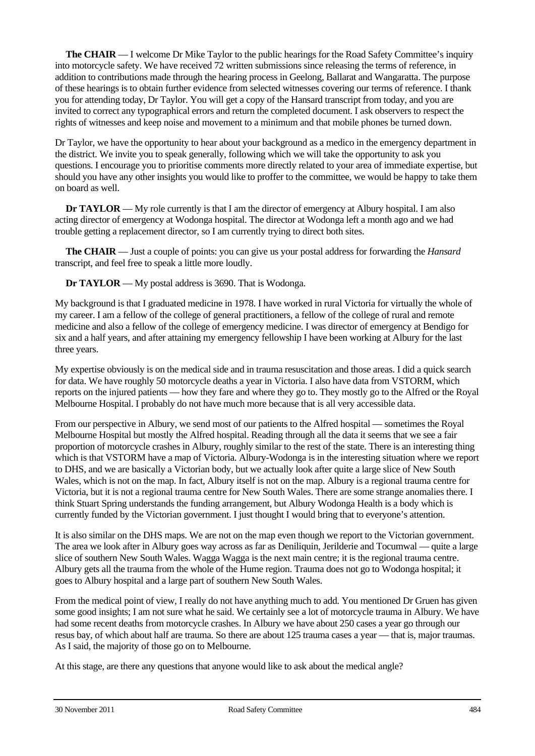**The CHAIR** — I welcome Dr Mike Taylor to the public hearings for the Road Safety Committee's inquiry into motorcycle safety. We have received 72 written submissions since releasing the terms of reference, in addition to contributions made through the hearing process in Geelong, Ballarat and Wangaratta. The purpose of these hearings is to obtain further evidence from selected witnesses covering our terms of reference. I thank you for attending today, Dr Taylor. You will get a copy of the Hansard transcript from today, and you are invited to correct any typographical errors and return the completed document. I ask observers to respect the rights of witnesses and keep noise and movement to a minimum and that mobile phones be turned down.

Dr Taylor, we have the opportunity to hear about your background as a medico in the emergency department in the district. We invite you to speak generally, following which we will take the opportunity to ask you questions. I encourage you to prioritise comments more directly related to your area of immediate expertise, but should you have any other insights you would like to proffer to the committee, we would be happy to take them on board as well.

**Dr TAYLOR** — My role currently is that I am the director of emergency at Albury hospital. I am also acting director of emergency at Wodonga hospital. The director at Wodonga left a month ago and we had trouble getting a replacement director, so I am currently trying to direct both sites.

**The CHAIR** — Just a couple of points: you can give us your postal address for forwarding the *Hansard* transcript, and feel free to speak a little more loudly.

**Dr TAYLOR** — My postal address is 3690. That is Wodonga.

My background is that I graduated medicine in 1978. I have worked in rural Victoria for virtually the whole of my career. I am a fellow of the college of general practitioners, a fellow of the college of rural and remote medicine and also a fellow of the college of emergency medicine. I was director of emergency at Bendigo for six and a half years, and after attaining my emergency fellowship I have been working at Albury for the last three years.

My expertise obviously is on the medical side and in trauma resuscitation and those areas. I did a quick search for data. We have roughly 50 motorcycle deaths a year in Victoria. I also have data from VSTORM, which reports on the injured patients — how they fare and where they go to. They mostly go to the Alfred or the Royal Melbourne Hospital. I probably do not have much more because that is all very accessible data.

From our perspective in Albury, we send most of our patients to the Alfred hospital — sometimes the Royal Melbourne Hospital but mostly the Alfred hospital. Reading through all the data it seems that we see a fair proportion of motorcycle crashes in Albury, roughly similar to the rest of the state. There is an interesting thing which is that VSTORM have a map of Victoria. Albury-Wodonga is in the interesting situation where we report to DHS, and we are basically a Victorian body, but we actually look after quite a large slice of New South Wales, which is not on the map. In fact, Albury itself is not on the map. Albury is a regional trauma centre for Victoria, but it is not a regional trauma centre for New South Wales. There are some strange anomalies there. I think Stuart Spring understands the funding arrangement, but Albury Wodonga Health is a body which is currently funded by the Victorian government. I just thought I would bring that to everyone's attention.

It is also similar on the DHS maps. We are not on the map even though we report to the Victorian government. The area we look after in Albury goes way across as far as Deniliquin, Jerilderie and Tocumwal — quite a large slice of southern New South Wales. Wagga Wagga is the next main centre; it is the regional trauma centre. Albury gets all the trauma from the whole of the Hume region. Trauma does not go to Wodonga hospital; it goes to Albury hospital and a large part of southern New South Wales.

From the medical point of view, I really do not have anything much to add. You mentioned Dr Gruen has given some good insights; I am not sure what he said. We certainly see a lot of motorcycle trauma in Albury. We have had some recent deaths from motorcycle crashes. In Albury we have about 250 cases a year go through our resus bay, of which about half are trauma. So there are about 125 trauma cases a year — that is, major traumas. As I said, the majority of those go on to Melbourne.

At this stage, are there any questions that anyone would like to ask about the medical angle?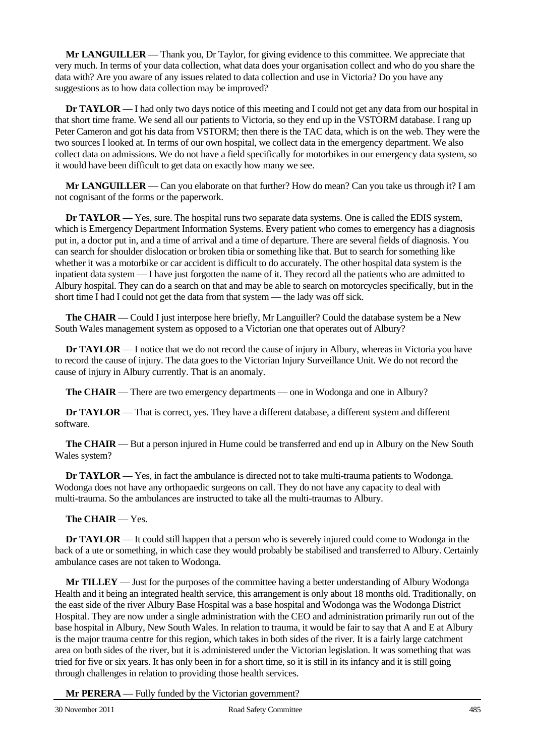**Mr LANGUILLER** — Thank you, Dr Taylor, for giving evidence to this committee. We appreciate that very much. In terms of your data collection, what data does your organisation collect and who do you share the data with? Are you aware of any issues related to data collection and use in Victoria? Do you have any suggestions as to how data collection may be improved?

**Dr TAYLOR** — I had only two days notice of this meeting and I could not get any data from our hospital in that short time frame. We send all our patients to Victoria, so they end up in the VSTORM database. I rang up Peter Cameron and got his data from VSTORM; then there is the TAC data, which is on the web. They were the two sources I looked at. In terms of our own hospital, we collect data in the emergency department. We also collect data on admissions. We do not have a field specifically for motorbikes in our emergency data system, so it would have been difficult to get data on exactly how many we see.

**Mr LANGUILLER** — Can you elaborate on that further? How do mean? Can you take us through it? I am not cognisant of the forms or the paperwork.

**Dr TAYLOR** — Yes, sure. The hospital runs two separate data systems. One is called the EDIS system, which is Emergency Department Information Systems. Every patient who comes to emergency has a diagnosis put in, a doctor put in, and a time of arrival and a time of departure. There are several fields of diagnosis. You can search for shoulder dislocation or broken tibia or something like that. But to search for something like whether it was a motorbike or car accident is difficult to do accurately. The other hospital data system is the inpatient data system — I have just forgotten the name of it. They record all the patients who are admitted to Albury hospital. They can do a search on that and may be able to search on motorcycles specifically, but in the short time I had I could not get the data from that system — the lady was off sick.

**The CHAIR** — Could I just interpose here briefly, Mr Languiller? Could the database system be a New South Wales management system as opposed to a Victorian one that operates out of Albury?

**Dr <b>TAYLOR** — I notice that we do not record the cause of injury in Albury, whereas in Victoria you have to record the cause of injury. The data goes to the Victorian Injury Surveillance Unit. We do not record the cause of injury in Albury currently. That is an anomaly.

**The CHAIR** — There are two emergency departments — one in Wodonga and one in Albury?

**Dr TAYLOR** — That is correct, yes. They have a different database, a different system and different software.

**The CHAIR** — But a person injured in Hume could be transferred and end up in Albury on the New South Wales system?

**Dr TAYLOR** — Yes, in fact the ambulance is directed not to take multi-trauma patients to Wodonga. Wodonga does not have any orthopaedic surgeons on call. They do not have any capacity to deal with multi-trauma. So the ambulances are instructed to take all the multi-traumas to Albury.

#### **The CHAIR** — Yes.

**Dr TAYLOR** — It could still happen that a person who is severely injured could come to Wodonga in the back of a ute or something, in which case they would probably be stabilised and transferred to Albury. Certainly ambulance cases are not taken to Wodonga.

**Mr TILLEY** — Just for the purposes of the committee having a better understanding of Albury Wodonga Health and it being an integrated health service, this arrangement is only about 18 months old. Traditionally, on the east side of the river Albury Base Hospital was a base hospital and Wodonga was the Wodonga District Hospital. They are now under a single administration with the CEO and administration primarily run out of the base hospital in Albury, New South Wales. In relation to trauma, it would be fair to say that A and E at Albury is the major trauma centre for this region, which takes in both sides of the river. It is a fairly large catchment area on both sides of the river, but it is administered under the Victorian legislation. It was something that was tried for five or six years. It has only been in for a short time, so it is still in its infancy and it is still going through challenges in relation to providing those health services.

**Mr PERERA** — Fully funded by the Victorian government?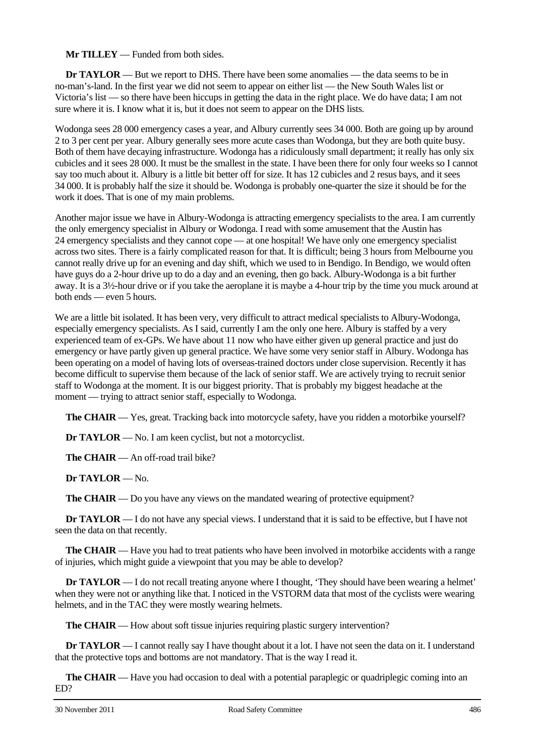#### **Mr TILLEY** — Funded from both sides.

**Dr TAYLOR** — But we report to DHS. There have been some anomalies — the data seems to be in no-man's-land. In the first year we did not seem to appear on either list — the New South Wales list or Victoria's list — so there have been hiccups in getting the data in the right place. We do have data; I am not sure where it is. I know what it is, but it does not seem to appear on the DHS lists.

Wodonga sees 28 000 emergency cases a year, and Albury currently sees 34 000. Both are going up by around 2 to 3 per cent per year. Albury generally sees more acute cases than Wodonga, but they are both quite busy. Both of them have decaying infrastructure. Wodonga has a ridiculously small department; it really has only six cubicles and it sees 28 000. It must be the smallest in the state. I have been there for only four weeks so I cannot say too much about it. Albury is a little bit better off for size. It has 12 cubicles and 2 resus bays, and it sees 34 000. It is probably half the size it should be. Wodonga is probably one-quarter the size it should be for the work it does. That is one of my main problems.

Another major issue we have in Albury-Wodonga is attracting emergency specialists to the area. I am currently the only emergency specialist in Albury or Wodonga. I read with some amusement that the Austin has 24 emergency specialists and they cannot cope — at one hospital! We have only one emergency specialist across two sites. There is a fairly complicated reason for that. It is difficult; being 3 hours from Melbourne you cannot really drive up for an evening and day shift, which we used to in Bendigo. In Bendigo, we would often have guys do a 2-hour drive up to do a day and an evening, then go back. Albury-Wodonga is a bit further away. It is a 3½-hour drive or if you take the aeroplane it is maybe a 4-hour trip by the time you muck around at both ends — even 5 hours.

We are a little bit isolated. It has been very, very difficult to attract medical specialists to Albury-Wodonga, especially emergency specialists. As I said, currently I am the only one here. Albury is staffed by a very experienced team of ex-GPs. We have about 11 now who have either given up general practice and just do emergency or have partly given up general practice. We have some very senior staff in Albury. Wodonga has been operating on a model of having lots of overseas-trained doctors under close supervision. Recently it has become difficult to supervise them because of the lack of senior staff. We are actively trying to recruit senior staff to Wodonga at the moment. It is our biggest priority. That is probably my biggest headache at the moment — trying to attract senior staff, especially to Wodonga.

**The CHAIR** — Yes, great. Tracking back into motorcycle safety, have you ridden a motorbike yourself?

**Dr TAYLOR** — No. I am keen cyclist, but not a motorcyclist.

**The CHAIR** — An off-road trail bike?

**Dr TAYLOR** — No.

**The CHAIR** — Do you have any views on the mandated wearing of protective equipment?

**Dr TAYLOR** — I do not have any special views. I understand that it is said to be effective, but I have not seen the data on that recently.

**The CHAIR** — Have you had to treat patients who have been involved in motorbike accidents with a range of injuries, which might guide a viewpoint that you may be able to develop?

**Dr TAYLOR** — I do not recall treating anyone where I thought, 'They should have been wearing a helmet' when they were not or anything like that. I noticed in the VSTORM data that most of the cyclists were wearing helmets, and in the TAC they were mostly wearing helmets.

**The CHAIR** — How about soft tissue injuries requiring plastic surgery intervention?

**Dr TAYLOR** — I cannot really say I have thought about it a lot. I have not seen the data on it. I understand that the protective tops and bottoms are not mandatory. That is the way I read it.

**The CHAIR** — Have you had occasion to deal with a potential paraplegic or quadriplegic coming into an ED?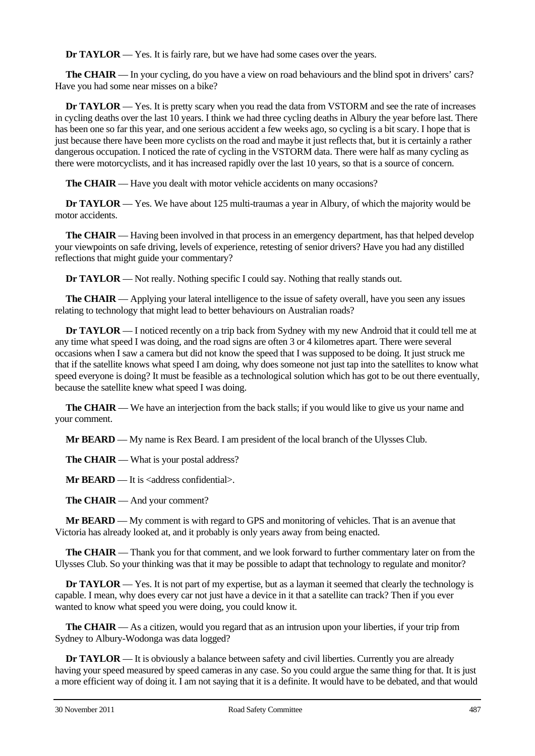**Dr TAYLOR** — Yes. It is fairly rare, but we have had some cases over the years.

**The CHAIR** — In your cycling, do you have a view on road behaviours and the blind spot in drivers' cars? Have you had some near misses on a bike?

**Dr TAYLOR** — Yes. It is pretty scary when you read the data from VSTORM and see the rate of increases in cycling deaths over the last 10 years. I think we had three cycling deaths in Albury the year before last. There has been one so far this year, and one serious accident a few weeks ago, so cycling is a bit scary. I hope that is just because there have been more cyclists on the road and maybe it just reflects that, but it is certainly a rather dangerous occupation. I noticed the rate of cycling in the VSTORM data. There were half as many cycling as there were motorcyclists, and it has increased rapidly over the last 10 years, so that is a source of concern.

**The CHAIR** — Have you dealt with motor vehicle accidents on many occasions?

**Dr TAYLOR** — Yes. We have about 125 multi-traumas a year in Albury, of which the majority would be motor accidents.

**The CHAIR** — Having been involved in that process in an emergency department, has that helped develop your viewpoints on safe driving, levels of experience, retesting of senior drivers? Have you had any distilled reflections that might guide your commentary?

**Dr TAYLOR** — Not really. Nothing specific I could say. Nothing that really stands out.

**The CHAIR** — Applying your lateral intelligence to the issue of safety overall, have you seen any issues relating to technology that might lead to better behaviours on Australian roads?

**Dr TAYLOR** — I noticed recently on a trip back from Sydney with my new Android that it could tell me at any time what speed I was doing, and the road signs are often 3 or 4 kilometres apart. There were several occasions when I saw a camera but did not know the speed that I was supposed to be doing. It just struck me that if the satellite knows what speed I am doing, why does someone not just tap into the satellites to know what speed everyone is doing? It must be feasible as a technological solution which has got to be out there eventually, because the satellite knew what speed I was doing.

**The CHAIR** — We have an interjection from the back stalls; if you would like to give us your name and your comment.

**Mr BEARD** — My name is Rex Beard. I am president of the local branch of the Ulysses Club.

**The CHAIR** — What is your postal address?

**Mr BEARD** — It is <address confidential>.

**The CHAIR** — And your comment?

**Mr BEARD** — My comment is with regard to GPS and monitoring of vehicles. That is an avenue that Victoria has already looked at, and it probably is only years away from being enacted.

**The CHAIR** — Thank you for that comment, and we look forward to further commentary later on from the Ulysses Club. So your thinking was that it may be possible to adapt that technology to regulate and monitor?

**Dr <b>TAYLOR** — Yes. It is not part of my expertise, but as a layman it seemed that clearly the technology is capable. I mean, why does every car not just have a device in it that a satellite can track? Then if you ever wanted to know what speed you were doing, you could know it.

**The CHAIR** — As a citizen, would you regard that as an intrusion upon your liberties, if your trip from Sydney to Albury-Wodonga was data logged?

**Dr TAYLOR** — It is obviously a balance between safety and civil liberties. Currently you are already having your speed measured by speed cameras in any case. So you could argue the same thing for that. It is just a more efficient way of doing it. I am not saying that it is a definite. It would have to be debated, and that would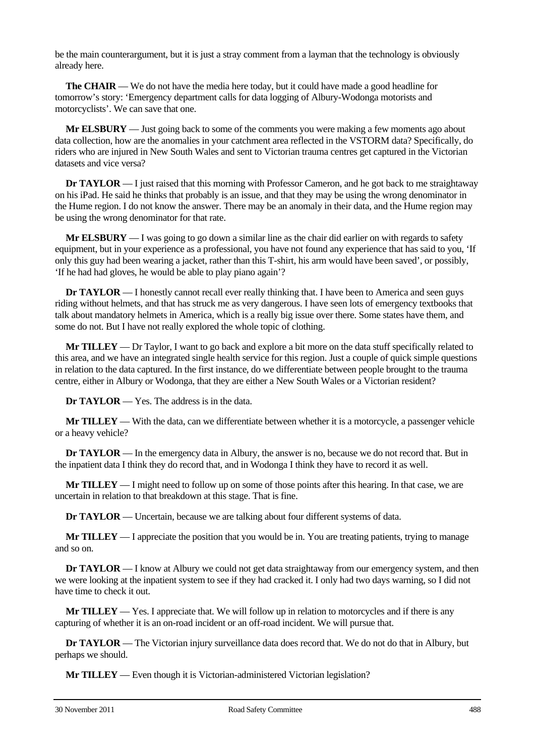be the main counterargument, but it is just a stray comment from a layman that the technology is obviously already here.

**The CHAIR** — We do not have the media here today, but it could have made a good headline for tomorrow's story: 'Emergency department calls for data logging of Albury-Wodonga motorists and motorcyclists'. We can save that one.

**Mr ELSBURY** — Just going back to some of the comments you were making a few moments ago about data collection, how are the anomalies in your catchment area reflected in the VSTORM data? Specifically, do riders who are injured in New South Wales and sent to Victorian trauma centres get captured in the Victorian datasets and vice versa?

**Dr <b>TAYLOR** — I just raised that this morning with Professor Cameron, and he got back to me straightaway on his iPad. He said he thinks that probably is an issue, and that they may be using the wrong denominator in the Hume region. I do not know the answer. There may be an anomaly in their data, and the Hume region may be using the wrong denominator for that rate.

**Mr ELSBURY** — I was going to go down a similar line as the chair did earlier on with regards to safety equipment, but in your experience as a professional, you have not found any experience that has said to you, 'If only this guy had been wearing a jacket, rather than this T-shirt, his arm would have been saved', or possibly, 'If he had had gloves, he would be able to play piano again'?

**Dr TAYLOR** — I honestly cannot recall ever really thinking that. I have been to America and seen guys riding without helmets, and that has struck me as very dangerous. I have seen lots of emergency textbooks that talk about mandatory helmets in America, which is a really big issue over there. Some states have them, and some do not. But I have not really explored the whole topic of clothing.

**Mr TILLEY** — Dr Taylor, I want to go back and explore a bit more on the data stuff specifically related to this area, and we have an integrated single health service for this region. Just a couple of quick simple questions in relation to the data captured. In the first instance, do we differentiate between people brought to the trauma centre, either in Albury or Wodonga, that they are either a New South Wales or a Victorian resident?

**Dr TAYLOR** — Yes. The address is in the data.

**Mr TILLEY** — With the data, can we differentiate between whether it is a motorcycle, a passenger vehicle or a heavy vehicle?

**Dr TAYLOR** — In the emergency data in Albury, the answer is no, because we do not record that. But in the inpatient data I think they do record that, and in Wodonga I think they have to record it as well.

**Mr TILLEY** — I might need to follow up on some of those points after this hearing. In that case, we are uncertain in relation to that breakdown at this stage. That is fine.

**Dr TAYLOR** — Uncertain, because we are talking about four different systems of data.

**Mr TILLEY** — I appreciate the position that you would be in. You are treating patients, trying to manage and so on.

**Dr TAYLOR** — I know at Albury we could not get data straightaway from our emergency system, and then we were looking at the inpatient system to see if they had cracked it. I only had two days warning, so I did not have time to check it out.

**Mr TILLEY** — Yes. I appreciate that. We will follow up in relation to motorcycles and if there is any capturing of whether it is an on-road incident or an off-road incident. We will pursue that.

**Dr TAYLOR** — The Victorian injury surveillance data does record that. We do not do that in Albury, but perhaps we should.

**Mr TILLEY** — Even though it is Victorian-administered Victorian legislation?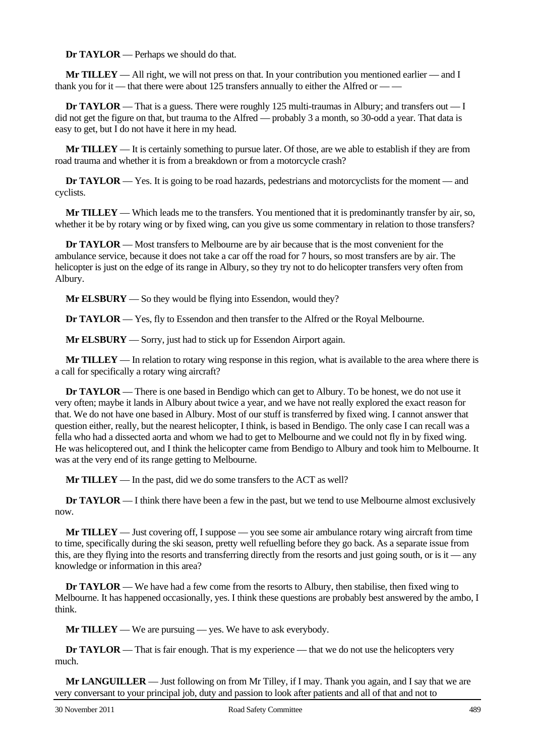**Dr TAYLOR** — Perhaps we should do that.

**Mr TILLEY** — All right, we will not press on that. In your contribution you mentioned earlier — and I thank you for it — that there were about 125 transfers annually to either the Alfred or  $\frac{m}{r}$ 

**Dr TAYLOR** — That is a guess. There were roughly 125 multi-traumas in Albury; and transfers out — I did not get the figure on that, but trauma to the Alfred — probably 3 a month, so 30-odd a year. That data is easy to get, but I do not have it here in my head.

**Mr TILLEY** — It is certainly something to pursue later. Of those, are we able to establish if they are from road trauma and whether it is from a breakdown or from a motorcycle crash?

**Dr TAYLOR** — Yes. It is going to be road hazards, pedestrians and motorcyclists for the moment — and cyclists.

**Mr TILLEY** — Which leads me to the transfers. You mentioned that it is predominantly transfer by air, so, whether it be by rotary wing or by fixed wing, can you give us some commentary in relation to those transfers?

**Dr TAYLOR** — Most transfers to Melbourne are by air because that is the most convenient for the ambulance service, because it does not take a car off the road for 7 hours, so most transfers are by air. The helicopter is just on the edge of its range in Albury, so they try not to do helicopter transfers very often from Albury.

**Mr ELSBURY** — So they would be flying into Essendon, would they?

**Dr TAYLOR** — Yes, fly to Essendon and then transfer to the Alfred or the Royal Melbourne.

**Mr ELSBURY** — Sorry, just had to stick up for Essendon Airport again.

**Mr TILLEY** — In relation to rotary wing response in this region, what is available to the area where there is a call for specifically a rotary wing aircraft?

**Dr TAYLOR** — There is one based in Bendigo which can get to Albury. To be honest, we do not use it very often; maybe it lands in Albury about twice a year, and we have not really explored the exact reason for that. We do not have one based in Albury. Most of our stuff is transferred by fixed wing. I cannot answer that question either, really, but the nearest helicopter, I think, is based in Bendigo. The only case I can recall was a fella who had a dissected aorta and whom we had to get to Melbourne and we could not fly in by fixed wing. He was helicoptered out, and I think the helicopter came from Bendigo to Albury and took him to Melbourne. It was at the very end of its range getting to Melbourne.

**Mr TILLEY** — In the past, did we do some transfers to the ACT as well?

**Dr TAYLOR** — I think there have been a few in the past, but we tend to use Melbourne almost exclusively now.

**Mr TILLEY** — Just covering off, I suppose — you see some air ambulance rotary wing aircraft from time to time, specifically during the ski season, pretty well refuelling before they go back. As a separate issue from this, are they flying into the resorts and transferring directly from the resorts and just going south, or is it — any knowledge or information in this area?

**Dr TAYLOR** — We have had a few come from the resorts to Albury, then stabilise, then fixed wing to Melbourne. It has happened occasionally, yes. I think these questions are probably best answered by the ambo, I think.

**Mr TILLEY** — We are pursuing — yes. We have to ask everybody.

**Dr TAYLOR** — That is fair enough. That is my experience — that we do not use the helicopters very much.

**Mr LANGUILLER** — Just following on from Mr Tilley, if I may. Thank you again, and I say that we are very conversant to your principal job, duty and passion to look after patients and all of that and not to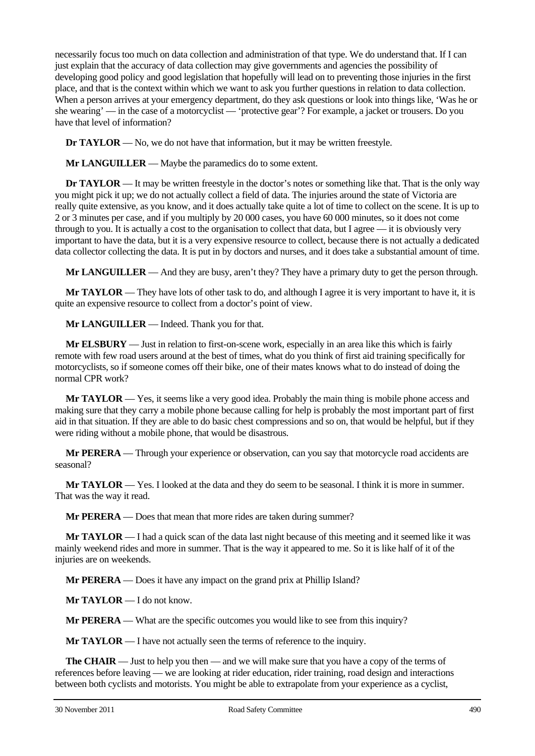necessarily focus too much on data collection and administration of that type. We do understand that. If I can just explain that the accuracy of data collection may give governments and agencies the possibility of developing good policy and good legislation that hopefully will lead on to preventing those injuries in the first place, and that is the context within which we want to ask you further questions in relation to data collection. When a person arrives at your emergency department, do they ask questions or look into things like, 'Was he or she wearing' — in the case of a motorcyclist — 'protective gear'? For example, a jacket or trousers. Do you have that level of information?

**Dr TAYLOR** — No, we do not have that information, but it may be written freestyle.

**Mr LANGUILLER** — Maybe the paramedics do to some extent.

**Dr <b>TAYLOR** — It may be written freestyle in the doctor's notes or something like that. That is the only way you might pick it up; we do not actually collect a field of data. The injuries around the state of Victoria are really quite extensive, as you know, and it does actually take quite a lot of time to collect on the scene. It is up to 2 or 3 minutes per case, and if you multiply by 20 000 cases, you have 60 000 minutes, so it does not come through to you. It is actually a cost to the organisation to collect that data, but I agree — it is obviously very important to have the data, but it is a very expensive resource to collect, because there is not actually a dedicated data collector collecting the data. It is put in by doctors and nurses, and it does take a substantial amount of time.

**Mr LANGUILLER** — And they are busy, aren't they? They have a primary duty to get the person through.

**Mr TAYLOR** — They have lots of other task to do, and although I agree it is very important to have it, it is quite an expensive resource to collect from a doctor's point of view.

**Mr LANGUILLER** — Indeed. Thank you for that.

**Mr ELSBURY** — Just in relation to first-on-scene work, especially in an area like this which is fairly remote with few road users around at the best of times, what do you think of first aid training specifically for motorcyclists, so if someone comes off their bike, one of their mates knows what to do instead of doing the normal CPR work?

**Mr TAYLOR** — Yes, it seems like a very good idea. Probably the main thing is mobile phone access and making sure that they carry a mobile phone because calling for help is probably the most important part of first aid in that situation. If they are able to do basic chest compressions and so on, that would be helpful, but if they were riding without a mobile phone, that would be disastrous.

**Mr PERERA** — Through your experience or observation, can you say that motorcycle road accidents are seasonal?

**Mr TAYLOR** — Yes. I looked at the data and they do seem to be seasonal. I think it is more in summer. That was the way it read.

**Mr PERERA** — Does that mean that more rides are taken during summer?

**Mr TAYLOR** — I had a quick scan of the data last night because of this meeting and it seemed like it was mainly weekend rides and more in summer. That is the way it appeared to me. So it is like half of it of the injuries are on weekends.

**Mr PERERA** — Does it have any impact on the grand prix at Phillip Island?

**Mr TAYLOR** — I do not know.

**Mr PERERA** — What are the specific outcomes you would like to see from this inquiry?

**Mr TAYLOR** — I have not actually seen the terms of reference to the inquiry.

**The CHAIR** — Just to help you then — and we will make sure that you have a copy of the terms of references before leaving — we are looking at rider education, rider training, road design and interactions between both cyclists and motorists. You might be able to extrapolate from your experience as a cyclist,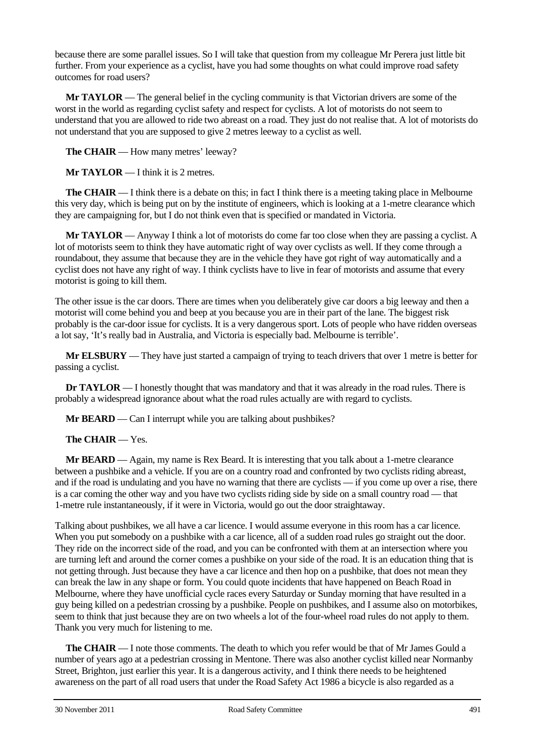because there are some parallel issues. So I will take that question from my colleague Mr Perera just little bit further. From your experience as a cyclist, have you had some thoughts on what could improve road safety outcomes for road users?

**Mr TAYLOR** — The general belief in the cycling community is that Victorian drivers are some of the worst in the world as regarding cyclist safety and respect for cyclists. A lot of motorists do not seem to understand that you are allowed to ride two abreast on a road. They just do not realise that. A lot of motorists do not understand that you are supposed to give 2 metres leeway to a cyclist as well.

**The CHAIR** — How many metres' leeway?

**Mr TAYLOR** — I think it is 2 metres.

**The CHAIR** — I think there is a debate on this; in fact I think there is a meeting taking place in Melbourne this very day, which is being put on by the institute of engineers, which is looking at a 1-metre clearance which they are campaigning for, but I do not think even that is specified or mandated in Victoria.

**Mr TAYLOR** — Anyway I think a lot of motorists do come far too close when they are passing a cyclist. A lot of motorists seem to think they have automatic right of way over cyclists as well. If they come through a roundabout, they assume that because they are in the vehicle they have got right of way automatically and a cyclist does not have any right of way. I think cyclists have to live in fear of motorists and assume that every motorist is going to kill them.

The other issue is the car doors. There are times when you deliberately give car doors a big leeway and then a motorist will come behind you and beep at you because you are in their part of the lane. The biggest risk probably is the car-door issue for cyclists. It is a very dangerous sport. Lots of people who have ridden overseas a lot say, 'It's really bad in Australia, and Victoria is especially bad. Melbourne is terrible'.

**Mr ELSBURY** — They have just started a campaign of trying to teach drivers that over 1 metre is better for passing a cyclist.

**Dr TAYLOR** — I honestly thought that was mandatory and that it was already in the road rules. There is probably a widespread ignorance about what the road rules actually are with regard to cyclists.

**Mr BEARD** — Can I interrupt while you are talking about pushbikes?

**The CHAIR** — Yes.

**Mr BEARD** — Again, my name is Rex Beard. It is interesting that you talk about a 1-metre clearance between a pushbike and a vehicle. If you are on a country road and confronted by two cyclists riding abreast, and if the road is undulating and you have no warning that there are cyclists — if you come up over a rise, there is a car coming the other way and you have two cyclists riding side by side on a small country road — that 1-metre rule instantaneously, if it were in Victoria, would go out the door straightaway.

Talking about pushbikes, we all have a car licence. I would assume everyone in this room has a car licence. When you put somebody on a pushbike with a car licence, all of a sudden road rules go straight out the door. They ride on the incorrect side of the road, and you can be confronted with them at an intersection where you are turning left and around the corner comes a pushbike on your side of the road. It is an education thing that is not getting through. Just because they have a car licence and then hop on a pushbike, that does not mean they can break the law in any shape or form. You could quote incidents that have happened on Beach Road in Melbourne, where they have unofficial cycle races every Saturday or Sunday morning that have resulted in a guy being killed on a pedestrian crossing by a pushbike. People on pushbikes, and I assume also on motorbikes, seem to think that just because they are on two wheels a lot of the four-wheel road rules do not apply to them. Thank you very much for listening to me.

**The CHAIR** — I note those comments. The death to which you refer would be that of Mr James Gould a number of years ago at a pedestrian crossing in Mentone. There was also another cyclist killed near Normanby Street, Brighton, just earlier this year. It is a dangerous activity, and I think there needs to be heightened awareness on the part of all road users that under the Road Safety Act 1986 a bicycle is also regarded as a